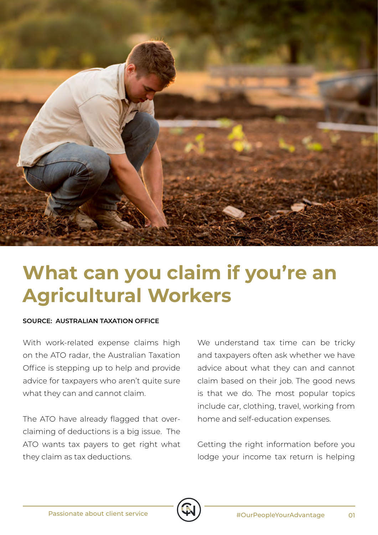

## **What can you claim if you're an Agricultural Workers**

## **SOURCE: AUSTRALIAN TAXATION OFFICE**

With work-related expense claims high on the ATO radar, the Australian Taxation Office is stepping up to help and provide advice for taxpayers who aren't quite sure what they can and cannot claim.

The ATO have already flagged that overclaiming of deductions is a big issue. The ATO wants tax payers to get right what they claim as tax deductions.

We understand tax time can be tricky and taxpayers often ask whether we have advice about what they can and cannot claim based on their job. The good news is that we do. The most popular topics include car, clothing, travel, working from home and self-education expenses.

Getting the right information before you lodge your income tax return is helping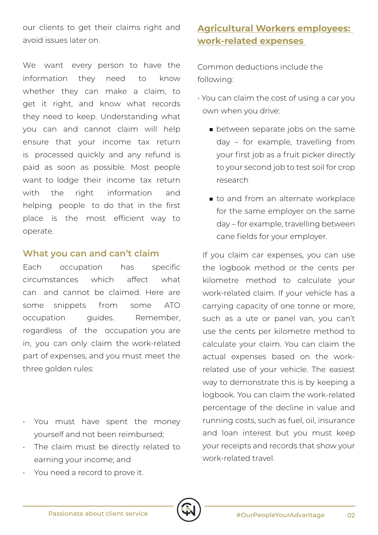our clients to get their claims right and avoid issues later on.

We want every person to have the information they need to know whether they can make a claim, to get it right, and know what records they need to keep. Understanding what you can and cannot claim will help ensure that your income tax return is processed quickly and any refund is paid as soon as possible. Most people want to lodge their income tax return with the right information and helping people to do that in the first place is the most efficient way to operate.

## **What you can and can't claim**

Each occupation has specific circumstances which affect what can and cannot be claimed. Here are some snippets from some ATO occupation guides. Remember, regardless of the occupation you are in, you can only claim the work-related part of expenses, and you must meet the three golden rules:

- You must have spent the money yourself and not been reimbursed;
- The claim must be directly related to earning your income; and

## **Agricultural Workers employees: work-related expenses**

Common deductions include the following:

- You can claim the cost of using a car you own when you drive:
	- between separate jobs on the same day – for example, travelling from your first job as a fruit picker directly to your second job to test soil for crop research
	- to and from an alternate workplace for the same employer on the same day – for example, travelling between cane fields for your employer.

If you claim car expenses, you can use the logbook method or the cents per kilometre method to calculate your work-related claim. If your vehicle has a carrying capacity of one tonne or more, such as a ute or panel van, you can't use the cents per kilometre method to calculate your claim. You can claim the actual expenses based on the workrelated use of your vehicle. The easiest way to demonstrate this is by keeping a logbook. You can claim the work-related percentage of the decline in value and running costs, such as fuel, oil, insurance and loan interest but you must keep your receipts and records that show your work-related travel

• You need a record to prove it.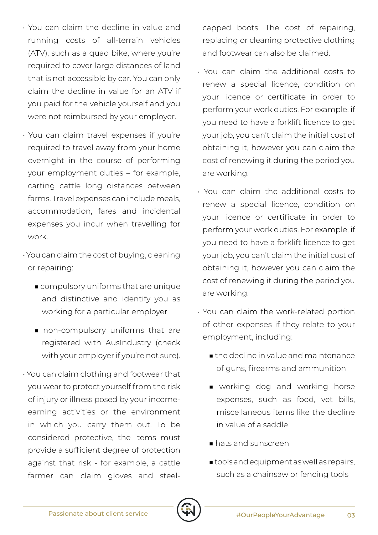- You can claim the decline in value and running costs of all-terrain vehicles (ATV), such as a quad bike, where you're required to cover large distances of land that is not accessible by car. You can only claim the decline in value for an ATV if you paid for the vehicle yourself and you were not reimbursed by your employer.
- You can claim travel expenses if you're required to travel away from your home overnight in the course of performing your employment duties – for example, carting cattle long distances between farms. Travel expenses can include meals, accommodation, fares and incidental expenses you incur when travelling for work.
- You can claim the cost of buying, cleaning or repairing:
	- compulsory uniforms that are unique and distinctive and identify you as working for a particular employer
	- non-compulsory uniforms that are registered with AusIndustry (check with your employer if you're not sure).
- You can claim clothing and footwear that you wear to protect yourself from the risk of injury or illness posed by your incomeearning activities or the environment in which you carry them out. To be considered protective, the items must provide a sufficient degree of protection against that risk - for example, a cattle farmer can claim gloves and steel-

capped boots. The cost of repairing, replacing or cleaning protective clothing and footwear can also be claimed.

- You can claim the additional costs to renew a special licence, condition on your licence or certificate in order to perform your work duties. For example, if you need to have a forklift licence to get your job, you can't claim the initial cost of obtaining it, however you can claim the cost of renewing it during the period you are working.
- You can claim the additional costs to renew a special licence, condition on your licence or certificate in order to perform your work duties. For example, if you need to have a forklift licence to get your job, you can't claim the initial cost of obtaining it, however you can claim the cost of renewing it during the period you are working.
- You can claim the work-related portion of other expenses if they relate to your employment, including:
	- the decline in value and maintenance of guns, firearms and ammunition
	- working dog and working horse expenses, such as food, vet bills, miscellaneous items like the decline in value of a saddle
	- hats and sunscreen
	- tools and equipment as well as repairs, such as a chainsaw or fencing tools